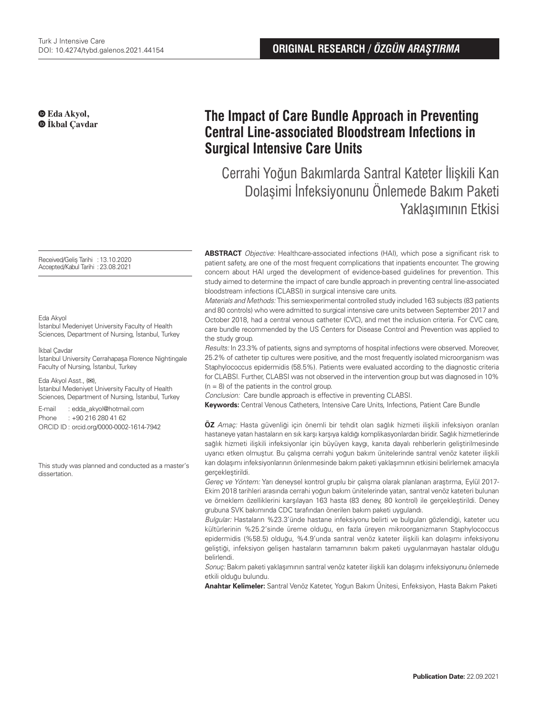### **Eda Akyol, İkbal Çavdar**

Received/Geliş Tarihi : 13.10.2020 Accepted/Kabul Tarihi :23.08.2021

#### Eda Akyol

İstanbul Medeniyet University Faculty of Health Sciences, Department of Nursing, İstanbul, Turkey

#### İkbal Çavdar

İstanbul University Cerrahapaşa Florence Nightingale Faculty of Nursing, İstanbul, Turkey

Eda Akyol Asst., (**✉**), İstanbul Medeniyet University Faculty of Health Sciences, Department of Nursing, İstanbul, Turkey

E-mail : edda\_akyol@hotmail.com Phone : +90 216 280 41 62 ORCID ID : orcid.org/0000-0002-1614-7942

This study was planned and conducted as a master's dissertation.

# **The Impact of Care Bundle Approach in Preventing Central Line-associated Bloodstream Infections in Surgical Intensive Care Units**

Cerrahi Yoğun Bakımlarda Santral Kateter İlişkili Kan Dolaşimi İnfeksiyonunu Önlemede Bakım Paketi Yaklaşımının Etkisi

**ABSTRACT** Objective: Healthcare-associated infections (HAI), which pose a significant risk to patient safety, are one of the most frequent complications that inpatients encounter. The growing concern about HAI urged the development of evidence-based guidelines for prevention. This study aimed to determine the impact of care bundle approach in preventing central line-associated bloodstream infections (CLABSI) in surgical intensive care units.

Materials and Methods: This semiexperimental controlled study included 163 subjects (83 patients and 80 controls) who were admitted to surgical intensive care units between September 2017 and October 2018, had a central venous catheter (CVC), and met the inclusion criteria. For CVC care, care bundle recommended by the US Centers for Disease Control and Prevention was applied to the study group.

Results: In 23.3% of patients, signs and symptoms of hospital infections were observed. Moreover, 25.2% of catheter tip cultures were positive, and the most frequently isolated microorganism was Staphylococcus epidermidis (58.5%). Patients were evaluated according to the diagnostic criteria for CLABSI. Further, CLABSI was not observed in the intervention group but was diagnosed in 10%  $(n = 8)$  of the patients in the control group.

Conclusion: Care bundle approach is effective in preventing CLABSI.

**Keywords:** Central Venous Catheters, Intensive Care Units, Infections, Patient Care Bundle

**ÖZ** Amaç: Hasta güvenliği için önemli bir tehdit olan sağlık hizmeti ilişkili infeksiyon oranları hastaneye yatan hastaların en sık karşı karşıya kaldığı komplikasyonlardan biridir. Sağlık hizmetlerinde sağlık hizmeti ilişkili infeksiyonlar için büyüyen kaygı, kanıta dayalı rehberlerin geliştirilmesinde uyarıcı etken olmuştur. Bu çalışma cerrahi yoğun bakım ünitelerinde santral venöz kateter ilişkili kan dolaşımı infeksiyonlarının önlenmesinde bakım paketi yaklaşımının etkisini belirlemek amacıyla gerçekleştirildi.

Gereç ve Yöntem: Yarı deneysel kontrol gruplu bir çalışma olarak planlanan araştırma, Eylül 2017- Ekim 2018 tarihleri arasında cerrahi yoğun bakım ünitelerinde yatan, santral venöz kateteri bulunan ve örneklem özelliklerini karşılayan 163 hasta (83 deney, 80 kontrol) ile gerçekleştirildi. Deney grubuna SVK bakımında CDC tarafından önerilen bakım paketi uygulandı.

Bulgular: Hastaların %23.3'ünde hastane infeksiyonu belirti ve bulguları gözlendiği, kateter ucu kültürlerinin %25.2'sinde üreme olduğu, en fazla üreyen mikroorganizmanın Staphylococcus epidermidis (%58.5) olduğu, %4.9'unda santral venöz kateter ilişkili kan dolaşımı infeksiyonu geliştiği, infeksiyon gelişen hastaların tamamının bakım paketi uygulanmayan hastalar olduğu belirlendi.

Sonuç: Bakım paketi yaklaşımının santral venöz kateter ilişkili kan dolaşımı infeksiyonunu önlemede etkili olduğu bulundu.

**Anahtar Kelimeler:** Santral Venöz Kateter, Yoğun Bakım Ünitesi, Enfeksiyon, Hasta Bakım Paketi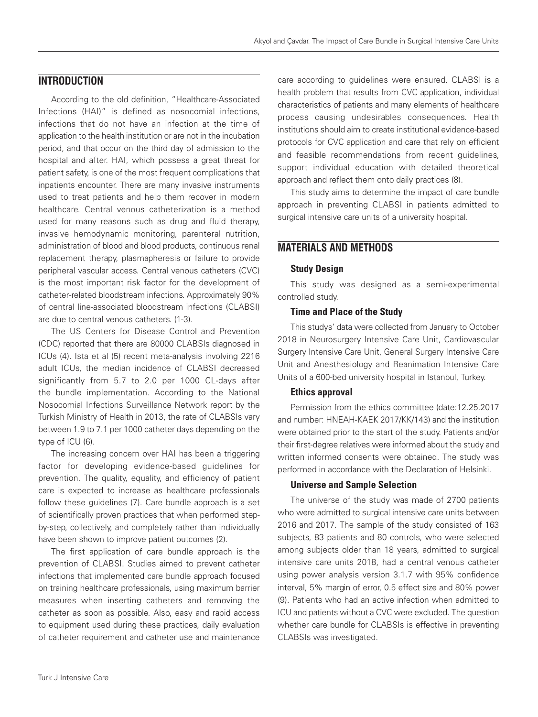# **INTRODUCTION**

According to the old definition, "Healthcare-Associated Infections (HAI)" is defined as nosocomial infections, infections that do not have an infection at the time of application to the health institution or are not in the incubation period, and that occur on the third day of admission to the hospital and after. HAI, which possess a great threat for patient safety, is one of the most frequent complications that inpatients encounter. There are many invasive instruments used to treat patients and help them recover in modern healthcare. Central venous catheterization is a method used for many reasons such as drug and fluid therapy, invasive hemodynamic monitoring, parenteral nutrition, administration of blood and blood products, continuous renal replacement therapy, plasmapheresis or failure to provide peripheral vascular access. Central venous catheters (CVC) is the most important risk factor for the development of catheter-related bloodstream infections. Approximately 90% of central line-associated bloodstream infections (CLABSI) are due to central venous catheters. (1-3).

The US Centers for Disease Control and Prevention (CDC) reported that there are 80000 CLABSIs diagnosed in ICUs (4). Ista et al (5) recent meta-analysis involving 2216 adult ICUs, the median incidence of CLABSI decreased significantly from 5.7 to 2.0 per 1000 CL-days after the bundle implementation. According to the National Nosocomial Infections Surveillance Network report by the Turkish Ministry of Health in 2013, the rate of CLABSIs vary between 1.9 to 7.1 per 1000 catheter days depending on the type of ICU (6).

The increasing concern over HAI has been a triggering factor for developing evidence-based guidelines for prevention. The quality, equality, and efficiency of patient care is expected to increase as healthcare professionals follow these guidelines (7). Care bundle approach is a set of scientifically proven practices that when performed stepby-step, collectively, and completely rather than individually have been shown to improve patient outcomes (2).

The first application of care bundle approach is the prevention of CLABSI. Studies aimed to prevent catheter infections that implemented care bundle approach focused on training healthcare professionals, using maximum barrier measures when inserting catheters and removing the catheter as soon as possible. Also, easy and rapid access to equipment used during these practices, daily evaluation of catheter requirement and catheter use and maintenance

care according to guidelines were ensured. CLABSI is a health problem that results from CVC application, individual characteristics of patients and many elements of healthcare process causing undesirables consequences. Health institutions should aim to create institutional evidence-based protocols for CVC application and care that rely on efficient and feasible recommendations from recent guidelines, support individual education with detailed theoretical approach and reflect them onto daily practices (8).

This study aims to determine the impact of care bundle approach in preventing CLABSI in patients admitted to surgical intensive care units of a university hospital.

# **MATERIALS AND METHODS**

### Study Design

This study was designed as a semi-experimental controlled study.

### Time and Place of the Study

This studys' data were collected from January to October 2018 in Neurosurgery Intensive Care Unit, Cardiovascular Surgery Intensive Care Unit, General Surgery Intensive Care Unit and Anesthesiology and Reanimation Intensive Care Units of a 600-bed university hospital in Istanbul, Turkey.

### Ethics approval

Permission from the ethics committee (date:12.25.2017 and number: HNEAH-KAEK 2017/KK/143) and the institution were obtained prior to the start of the study. Patients and/or their first-degree relatives were informed about the study and written informed consents were obtained. The study was performed in accordance with the Declaration of Helsinki.

### Universe and Sample Selection

The universe of the study was made of 2700 patients who were admitted to surgical intensive care units between 2016 and 2017. The sample of the study consisted of 163 subjects, 83 patients and 80 controls, who were selected among subjects older than 18 years, admitted to surgical intensive care units 2018, had a central venous catheter using power analysis version 3.1.7 with 95% confidence interval, 5% margin of error, 0.5 effect size and 80% power (9). Patients who had an active infection when admitted to ICU and patients without a CVC were excluded. The question whether care bundle for CLABSIs is effective in preventing CLABSIs was investigated.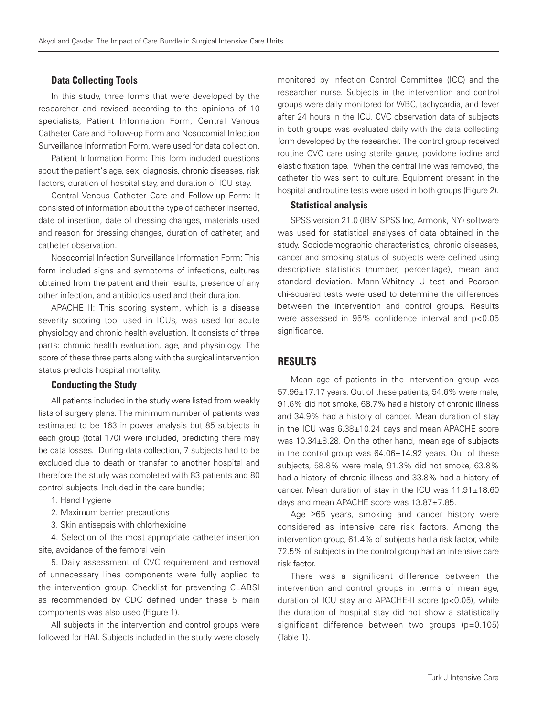### Data Collecting Tools

In this study, three forms that were developed by the researcher and revised according to the opinions of 10 specialists, Patient Information Form, Central Venous Catheter Care and Follow-up Form and Nosocomial Infection Surveillance Information Form, were used for data collection.

Patient Information Form: This form included questions about the patient's age, sex, diagnosis, chronic diseases, risk factors, duration of hospital stay, and duration of ICU stay.

Central Venous Catheter Care and Follow-up Form: It consisted of information about the type of catheter inserted, date of insertion, date of dressing changes, materials used and reason for dressing changes, duration of catheter, and catheter observation.

Nosocomial Infection Surveillance Information Form: This form included signs and symptoms of infections, cultures obtained from the patient and their results, presence of any other infection, and antibiotics used and their duration.

APACHE II: This scoring system, which is a disease severity scoring tool used in ICUs, was used for acute physiology and chronic health evaluation. It consists of three parts: chronic health evaluation, age, and physiology. The score of these three parts along with the surgical intervention status predicts hospital mortality.

## Conducting the Study

All patients included in the study were listed from weekly lists of surgery plans. The minimum number of patients was estimated to be 163 in power analysis but 85 subjects in each group (total 170) were included, predicting there may be data losses. During data collection, 7 subjects had to be excluded due to death or transfer to another hospital and therefore the study was completed with 83 patients and 80 control subjects. Included in the care bundle;

- 1. Hand hygiene
- 2. Maximum barrier precautions
- 3. Skin antisepsis with chlorhexidine

4. Selection of the most appropriate catheter insertion site, avoidance of the femoral vein

5. Daily assessment of CVC requirement and removal of unnecessary lines components were fully applied to the intervention group. Checklist for preventing CLABSI as recommended by CDC defined under these 5 main components was also used (Figure 1).

All subjects in the intervention and control groups were followed for HAI. Subjects included in the study were closely monitored by Infection Control Committee (ICC) and the researcher nurse. Subjects in the intervention and control groups were daily monitored for WBC, tachycardia, and fever after 24 hours in the ICU. CVC observation data of subjects in both groups was evaluated daily with the data collecting form developed by the researcher. The control group received routine CVC care using sterile gauze, povidone iodine and elastic fixation tape. When the central line was removed, the catheter tip was sent to culture. Equipment present in the hospital and routine tests were used in both groups (Figure 2).

#### Statistical analysis

SPSS version 21.0 (IBM SPSS Inc, Armonk, NY) software was used for statistical analyses of data obtained in the study. Sociodemographic characteristics, chronic diseases, cancer and smoking status of subjects were defined using descriptive statistics (number, percentage), mean and standard deviation. Mann-Whitney U test and Pearson chi-squared tests were used to determine the differences between the intervention and control groups. Results were assessed in 95% confidence interval and p<0.05 significance.

# **RESULTS**

Mean age of patients in the intervention group was 57.96±17.17 years. Out of these patients, 54.6% were male, 91.6% did not smoke, 68.7% had a history of chronic illness and 34.9% had a history of cancer. Mean duration of stay in the ICU was 6.38±10.24 days and mean APACHE score was 10.34±8.28. On the other hand, mean age of subjects in the control group was 64.06±14.92 years. Out of these subjects, 58.8% were male, 91.3% did not smoke, 63.8% had a history of chronic illness and 33.8% had a history of cancer. Mean duration of stay in the ICU was  $11.91 \pm 18.60$ days and mean APACHE score was 13.87±7.85.

Age ≥65 years, smoking and cancer history were considered as intensive care risk factors. Among the intervention group, 61.4% of subjects had a risk factor, while 72.5% of subjects in the control group had an intensive care risk factor.

There was a significant difference between the intervention and control groups in terms of mean age, duration of ICU stay and APACHE-II score (p<0.05), while the duration of hospital stay did not show a statistically significant difference between two groups (p=0.105) (Table 1).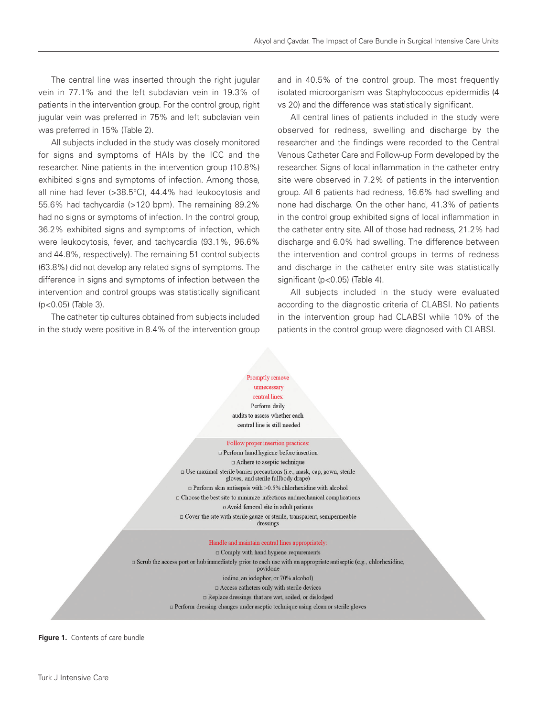The central line was inserted through the right jugular vein in 77.1% and the left subclavian vein in 19.3% of patients in the intervention group. For the control group, right jugular vein was preferred in 75% and left subclavian vein was preferred in 15% (Table 2).

All subjects included in the study was closely monitored for signs and symptoms of HAIs by the ICC and the researcher. Nine patients in the intervention group (10.8%) exhibited signs and symptoms of infection. Among those, all nine had fever (>38.5°C), 44.4% had leukocytosis and 55.6% had tachycardia (>120 bpm). The remaining 89.2% had no signs or symptoms of infection. In the control group, 36.2% exhibited signs and symptoms of infection, which were leukocytosis, fever, and tachycardia (93.1%, 96.6% and 44.8%, respectively). The remaining 51 control subjects (63.8%) did not develop any related signs of symptoms. The difference in signs and symptoms of infection between the intervention and control groups was statistically significant (p<0.05) (Table 3).

The catheter tip cultures obtained from subjects included in the study were positive in 8.4% of the intervention group and in 40.5% of the control group. The most frequently isolated microorganism was Staphylococcus epidermidis (4 vs 20) and the difference was statistically significant.

All central lines of patients included in the study were observed for redness, swelling and discharge by the researcher and the findings were recorded to the Central Venous Catheter Care and Follow-up Form developed by the researcher. Signs of local inflammation in the catheter entry site were observed in 7.2% of patients in the intervention group. All 6 patients had redness, 16.6% had swelling and none had discharge. On the other hand, 41.3% of patients in the control group exhibited signs of local inflammation in the catheter entry site. All of those had redness, 21.2% had discharge and 6.0% had swelling. The difference between the intervention and control groups in terms of redness and discharge in the catheter entry site was statistically significant (p<0.05) (Table 4).

All subjects included in the study were evaluated according to the diagnostic criteria of CLABSI. No patients in the intervention group had CLABSI while 10% of the patients in the control group were diagnosed with CLABSI.

# Promptly remove

unnecessary central lines:

Perform daily audits to assess whether each

central line is still needed

#### Follow proper insertion practices:

Perform hand hygiene before insertion Adhere to aseptic technique □ Use maximal sterile barrier precautions (i.e., mask, cap, gown, sterile gloves, and sterile fullbody drape)  $\Box$  Perform skin antisepsis with >0.5% chlorhexidine with alcohol  $\Box$  Choose the best site to minimize infections and<br>mechanical complications o Avoid femoral site in adult patients  $\Box$  Cover the site with sterile gauze or sterile, transparent, semipermeable

dressings

#### Handle and maintain central lines appropriately:

 $\Box$  Comply with hand hygiene requirements  $\Box$  Scrub the access port or hub immediately prior to each use with an appropriate antiseptic (e.g., chlorhexidine, povidone iodine, an iodophor, or 70% alcohol)  $\Box$  Access catheters only with sterile devices □ Replace dressings that are wet, soiled, or dislodged perform dressing changes under aseptic technique using clean or sterile gloves

**Figure 1.** Contents of care bundle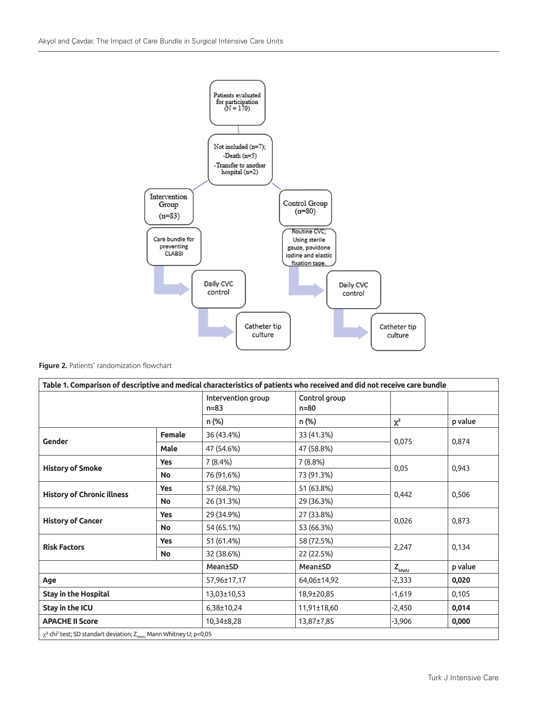

|  | Figure 2. Patients' randomization flowchart |
|--|---------------------------------------------|
|--|---------------------------------------------|

| Table 1. Comparison of descriptive and medical characteristics of patients who received and did not receive care bundle |               |                                |                           |            |         |
|-------------------------------------------------------------------------------------------------------------------------|---------------|--------------------------------|---------------------------|------------|---------|
|                                                                                                                         |               | Intervention group<br>$n = 83$ | Control group<br>$n = 80$ |            |         |
|                                                                                                                         |               | n (%)                          | n (%)                     | $\chi^2$   | p value |
| Gender                                                                                                                  | <b>Female</b> | 36 (43.4%)                     | 33 (41.3%)                |            | 0,874   |
|                                                                                                                         | Male          | 47 (54.6%)                     | 47 (58.8%)                | 0,075      |         |
| <b>History of Smoke</b>                                                                                                 | <b>Yes</b>    | 7(8.4%)                        | 7(8.8%)                   | 0,05       |         |
|                                                                                                                         | <b>No</b>     | 76 (91.6%)                     | 73 (91.3%)                |            | 0,943   |
| <b>History of Chronic illness</b>                                                                                       | <b>Yes</b>    | 57 (68.7%)                     | 51 (63.8%)                | 0,442      |         |
|                                                                                                                         | <b>No</b>     | 26 (31.3%)                     | 29 (36.3%)                |            | 0,506   |
|                                                                                                                         | <b>Yes</b>    | 29 (34.9%)                     | 27 (33.8%)                | 0,026      |         |
| <b>History of Cancer</b>                                                                                                | <b>No</b>     | 54 (65.1%)                     | 53 (66.3%)                |            | 0,873   |
| <b>Risk Factors</b>                                                                                                     | Yes           | 51 (61.4%)                     | 58 (72.5%)                | 2,247      | 0,134   |
|                                                                                                                         | <b>No</b>     | 32 (38.6%)                     | 22 (22.5%)                |            |         |
|                                                                                                                         |               | Mean±SD                        | Mean±SD                   | $Z_{M WU}$ | p value |
| Age                                                                                                                     |               | 57,96±17,17                    | 64,06±14,92               | $-2,333$   | 0,020   |
| <b>Stay in the Hospital</b>                                                                                             |               | 13,03±10,53                    | 18,9±20,85                | $-1,619$   | 0,105   |
| Stay in the ICU                                                                                                         |               | 6,38±10,24                     | 11,91±18,60               | $-2,450$   | 0,014   |
| <b>APACHE II Score</b>                                                                                                  |               | 10,34±8,28                     | 13,87±7,85                | $-3,906$   | 0,000   |
| $\chi^2$ chi <sup>2</sup> test; SD standart deviation; Z <sub>MWU</sub> Mann Whitney U; p<0,05                          |               |                                |                           |            |         |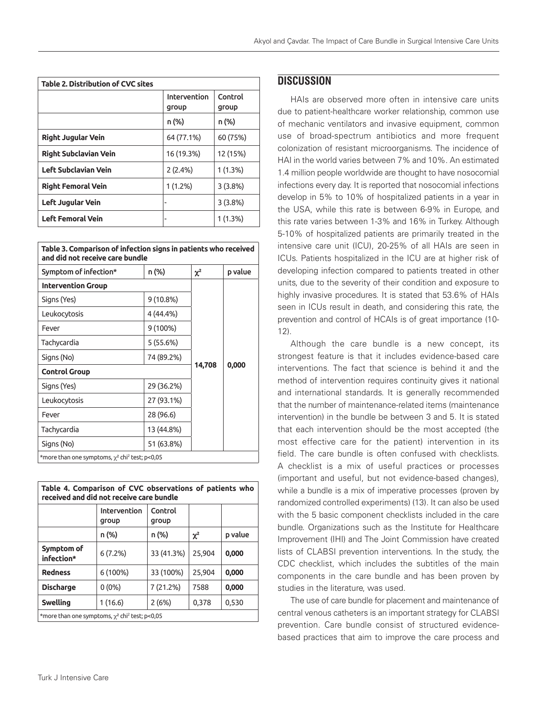| <b>Table 2. Distribution of CVC sites</b> |                       |                  |  |
|-------------------------------------------|-----------------------|------------------|--|
|                                           | Intervention<br>group | Control<br>group |  |
|                                           | n (%)                 | n (%)            |  |
| <b>Right Jugular Vein</b>                 | 64 (77.1%)            | 60 (75%)         |  |
| <b>Right Subclavian Vein</b>              | 16 (19.3%)            | 12 (15%)         |  |
| Left Subclavian Vein                      | 2(2.4%)               | 1(1.3%)          |  |
| <b>Right Femoral Vein</b>                 | $1(1.2\%)$            | 3(3.8%)          |  |
| Left Jugular Vein                         | $\blacksquare$        | 3(3.8%)          |  |
| <b>Left Femoral Vein</b>                  | $\blacksquare$        | 1(1.3%)          |  |

| Table 3. Comparison of infection signs in patients who received |  |
|-----------------------------------------------------------------|--|
| and did not receive care bundle                                 |  |

| Symptom of infection*                                           | n (%)      | $\chi^2$ | p value |
|-----------------------------------------------------------------|------------|----------|---------|
| <b>Intervention Group</b>                                       |            |          |         |
| Signs (Yes)                                                     | 9 (10.8%)  |          |         |
| Leukocytosis                                                    | 4 (44.4%)  |          |         |
| Fever                                                           | 9 (100%)   |          |         |
| Tachycardia                                                     | 5 (55.6%)  |          |         |
| Signs (No)                                                      | 74 (89.2%) |          |         |
| <b>Control Group</b>                                            | 14,708     | 0,000    |         |
| Signs (Yes)                                                     | 29 (36.2%) |          |         |
| Leukocytosis                                                    | 27 (93.1%) |          |         |
| Fever                                                           | 28 (96.6)  |          |         |
| Tachycardia                                                     | 13 (44.8%) |          |         |
| Signs (No)                                                      | 51 (63.8%) |          |         |
| *more than one symptoms, $\chi^2$ chi <sup>2</sup> test; p<0,05 |            |          |         |

| Table 4. Comparison of CVC observations of patients who<br>received and did not receive care bundle |                       |                  |          |         |
|-----------------------------------------------------------------------------------------------------|-----------------------|------------------|----------|---------|
|                                                                                                     | Intervention<br>qroup | Control<br>group |          |         |
|                                                                                                     | n (%)                 | n (%)            | $\chi^2$ | p value |
| Symptom of<br>infection*                                                                            | 6(7.2%)               | 33 (41.3%)       | 25.904   | 0,000   |
| <b>Redness</b>                                                                                      | 6 (100%)              | 33 (100%)        | 25,904   | 0,000   |
| <b>Discharge</b>                                                                                    | $0(0\%)$              | 7 (21.2%)        | 7588     | 0,000   |
| Swelling                                                                                            | 1(16.6)               | 2(6%)            | 0,378    | 0,530   |
| *more than one symptoms, $\gamma^2$ chi <sup>2</sup> test; p<0,05                                   |                       |                  |          |         |

# **DISCUSSION**

HAIs are observed more often in intensive care units due to patient-healthcare worker relationship, common use of mechanic ventilators and invasive equipment, common use of broad-spectrum antibiotics and more frequent colonization of resistant microorganisms. The incidence of HAI in the world varies between 7% and 10%. An estimated 1.4 million people worldwide are thought to have nosocomial infections every day. It is reported that nosocomial infections develop in 5% to 10% of hospitalized patients in a year in the USA, while this rate is between 6-9% in Europe, and this rate varies between 1-3% and 16% in Turkey. Although 5-10% of hospitalized patients are primarily treated in the intensive care unit (ICU), 20-25% of all HAIs are seen in ICUs. Patients hospitalized in the ICU are at higher risk of developing infection compared to patients treated in other units, due to the severity of their condition and exposure to highly invasive procedures. It is stated that 53.6% of HAIs seen in ICUs result in death, and considering this rate, the prevention and control of HCAIs is of great importance (10- 12).

Although the care bundle is a new concept, its strongest feature is that it includes evidence-based care interventions. The fact that science is behind it and the method of intervention requires continuity gives it national and international standards. It is generally recommended that the number of maintenance-related items (maintenance intervention) in the bundle be between 3 and 5. It is stated that each intervention should be the most accepted (the most effective care for the patient) intervention in its field. The care bundle is often confused with checklists. A checklist is a mix of useful practices or processes (important and useful, but not evidence-based changes), while a bundle is a mix of imperative processes (proven by randomized controlled experiments) (13). It can also be used with the 5 basic component checklists included in the care bundle. Organizations such as the Institute for Healthcare Improvement (IHI) and The Joint Commission have created lists of CLABSI prevention interventions. In the study, the CDC checklist, which includes the subtitles of the main components in the care bundle and has been proven by studies in the literature, was used.

The use of care bundle for placement and maintenance of central venous catheters is an important strategy for CLABSI prevention. Care bundle consist of structured evidencebased practices that aim to improve the care process and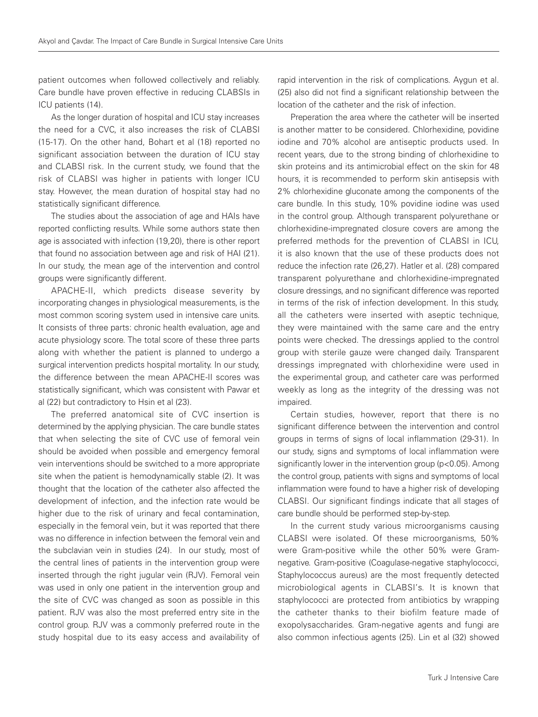patient outcomes when followed collectively and reliably. Care bundle have proven effective in reducing CLABSIs in ICU patients (14).

As the longer duration of hospital and ICU stay increases the need for a CVC, it also increases the risk of CLABSI (15-17). On the other hand, Bohart et al (18) reported no significant association between the duration of ICU stay and CLABSI risk. In the current study, we found that the risk of CLABSI was higher in patients with longer ICU stay. However, the mean duration of hospital stay had no statistically significant difference.

The studies about the association of age and HAIs have reported conflicting results. While some authors state then age is associated with infection (19,20), there is other report that found no association between age and risk of HAI (21). In our study, the mean age of the intervention and control groups were significantly different.

APACHE-II, which predicts disease severity by incorporating changes in physiological measurements, is the most common scoring system used in intensive care units. It consists of three parts: chronic health evaluation, age and acute physiology score. The total score of these three parts along with whether the patient is planned to undergo a surgical intervention predicts hospital mortality. In our study, the difference between the mean APACHE-II scores was statistically significant, which was consistent with Pawar et al (22) but contradictory to Hsin et al (23).

The preferred anatomical site of CVC insertion is determined by the applying physician. The care bundle states that when selecting the site of CVC use of femoral vein should be avoided when possible and emergency femoral vein interventions should be switched to a more appropriate site when the patient is hemodynamically stable (2). It was thought that the location of the catheter also affected the development of infection, and the infection rate would be higher due to the risk of urinary and fecal contamination, especially in the femoral vein, but it was reported that there was no difference in infection between the femoral vein and the subclavian vein in studies (24). In our study, most of the central lines of patients in the intervention group were inserted through the right jugular vein (RJV). Femoral vein was used in only one patient in the intervention group and the site of CVC was changed as soon as possible in this patient. RJV was also the most preferred entry site in the control group. RJV was a commonly preferred route in the study hospital due to its easy access and availability of rapid intervention in the risk of complications. Aygun et al. (25) also did not find a significant relationship between the location of the catheter and the risk of infection.

Preperation the area where the catheter will be inserted is another matter to be considered. Chlorhexidine, povidine iodine and 70% alcohol are antiseptic products used. In recent years, due to the strong binding of chlorhexidine to skin proteins and its antimicrobial effect on the skin for 48 hours, it is recommended to perform skin antisepsis with 2% chlorhexidine gluconate among the components of the care bundle. In this study, 10% povidine iodine was used in the control group. Although transparent polyurethane or chlorhexidine-impregnated closure covers are among the preferred methods for the prevention of CLABSI in ICU, it is also known that the use of these products does not reduce the infection rate (26,27). Hatler et al. (28) compared transparent polyurethane and chlorhexidine-impregnated closure dressings, and no significant difference was reported in terms of the risk of infection development. In this study, all the catheters were inserted with aseptic technique, they were maintained with the same care and the entry points were checked. The dressings applied to the control group with sterile gauze were changed daily. Transparent dressings impregnated with chlorhexidine were used in the experimental group, and catheter care was performed weekly as long as the integrity of the dressing was not impaired.

Certain studies, however, report that there is no significant difference between the intervention and control groups in terms of signs of local inflammation (29-31). In our study, signs and symptoms of local inflammation were significantly lower in the intervention group (p<0.05). Among the control group, patients with signs and symptoms of local inflammation were found to have a higher risk of developing CLABSI. Our significant findings indicate that all stages of care bundle should be performed step-by-step.

In the current study various microorganisms causing CLABSI were isolated. Of these microorganisms, 50% were Gram-positive while the other 50% were Gramnegative. Gram-positive (Coagulase-negative staphylococci, Staphylococcus aureus) are the most frequently detected microbiological agents in CLABSI's. It is known that staphylococci are protected from antibiotics by wrapping the catheter thanks to their biofilm feature made of exopolysaccharides. Gram-negative agents and fungi are also common infectious agents (25). Lin et al (32) showed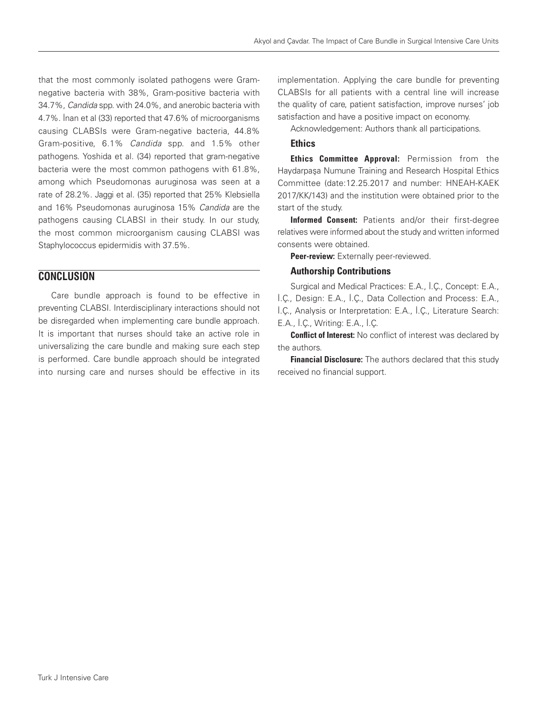that the most commonly isolated pathogens were Gramnegative bacteria with 38%, Gram-positive bacteria with 34.7%, Candida spp. with 24.0%, and anerobic bacteria with 4.7%. İnan et al (33) reported that 47.6% of microorganisms causing CLABSIs were Gram-negative bacteria, 44.8% Gram-positive, 6.1% Candida spp. and 1.5% other pathogens. Yoshida et al. (34) reported that gram-negative bacteria were the most common pathogens with 61.8%, among which Pseudomonas auruginosa was seen at a rate of 28.2%. Jaggi et al. (35) reported that 25% Klebsiella and 16% Pseudomonas auruginosa 15% Candida are the pathogens causing CLABSI in their study. In our study, the most common microorganism causing CLABSI was Staphylococcus epidermidis with 37.5%.

# **CONCLUSION**

Care bundle approach is found to be effective in preventing CLABSI. Interdisciplinary interactions should not be disregarded when implementing care bundle approach. It is important that nurses should take an active role in universalizing the care bundle and making sure each step is performed. Care bundle approach should be integrated into nursing care and nurses should be effective in its implementation. Applying the care bundle for preventing CLABSIs for all patients with a central line will increase the quality of care, patient satisfaction, improve nurses' job satisfaction and have a positive impact on economy.

Acknowledgement: Authors thank all participations.

# **Ethics**

**Ethics Committee Approval:** Permission from the Haydarpaşa Numune Training and Research Hospital Ethics Committee (date:12.25.2017 and number: HNEAH-KAEK 2017/KK/143) and the institution were obtained prior to the start of the study.

Informed Consent: Patients and/or their first-degree relatives were informed about the study and written informed consents were obtained.

Peer-review: Externally peer-reviewed.

## Authorship Contributions

Surgical and Medical Practices: E.A., İ.Ç., Concept: E.A., İ.Ç., Design: E.A., İ.Ç., Data Collection and Process: E.A., İ.Ç., Analysis or Interpretation: E.A., İ.Ç., Literature Search: E.A., İ.Ç., Writing: E.A., İ.Ç.

**Conflict of Interest:** No conflict of interest was declared by the authors.

Financial Disclosure: The authors declared that this study received no financial support.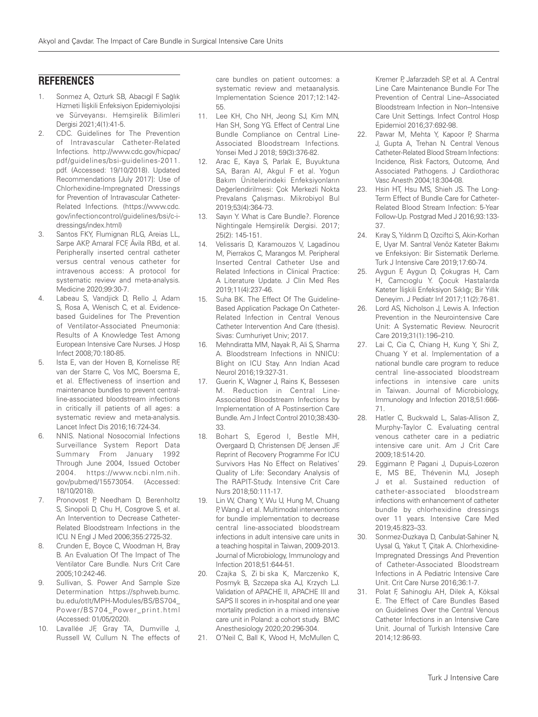# **REFERENCES**

- 1. Sonmez A, Ozturk SB, Abacıgil F. Sağlık Hizmeti İlişkili Enfeksiyon Epidemiyolojisi ve Sürveyansı. Hemşirelik Bilimleri Dergisi 2021;4(1):41-5.
- 2. CDC. Guidelines for The Prevention of Intravascular Catheter-Related Infections. http://www.cdc.gov/hicpac/ pdf/guidelines/bsi-guidelines-2011. pdf. (Accessed: 19/10/2018). Updated Recommendations [July 2017]: Use of Chlorhexidine-Impregnated Dressings for Prevention of Intravascular Catheter-Related Infections. (https://www.cdc. gov/infectioncontrol/guidelines/bsi/c-idressings/index.html)
- 3. Santos FKY, Flumignan RLG, Areias LL, Sarpe AKP, Amaral FCF, Ávila RBd, et al. Peripherally inserted central catheter versus central venous catheter for intravenous access: A protocol for systematic review and meta-analysis. Medicine 2020;99:30-7.
- 4. Labeau S, Vandjick D, Rello J, Adam S, Rosa A, Wenisch C, et al. Evidencebased Guidelines for The Prevention of Ventilator-Associated Pneumonia: Results of A Knowledge Test Among European Intensive Care Nurses. J Hosp Infect 2008;70:180-85.
- 5. Ista E, van der Hoven B, Kornelisse RF, van der Starre C, Vos MC, Boersma E, et al. Effectiveness of insertion and maintenance bundles to prevent centralline-associated bloodstream infections in critically ill patients of all ages: a systematic review and meta-analysis. Lancet Infect Dis 2016;16:724-34.
- 6. NNIS. National Nosocomial Infections Surveillance System Report Data Summary From January 1992 Through June 2004, Issued October 2004. https://www.ncbi.nlm.nih. gov/pubmed/15573054. (Accessed: 18/10/2018).
- 7. Pronovost P, Needham D, Berenholtz S, Sinopoli D, Chu H, Cosgrove S, et al. An Intervention to Decrease Catheter-Related Bloodstream Infections in the ICU. N Engl J Med 2006;355:2725-32.
- 8. Crunden E, Boyce C, Woodman H, Bray B. An Evaluation Of The Impact of The Ventilator Care Bundle. Nurs Crit Care 2005;10:242-46.
- 9. Sullivan, S. Power And Sample Size Determination https://sphweb.bumc. bu.edu/otlt/MPH-Modules/BS/BS704\_ Power/BS704\_Power\_print.html (Accessed: 01/05/2020).
- 10. Lavallée JF, Gray TA, Dumville J, Russell W, Cullum N. The effects of

care bundles on patient outcomes: a systematic review and metaanalysis. Implementation Science 2017;12:142- 55.

- 11. Lee KH, Cho NH, Jeong SJ, Kim MN, Han SH, Song YG. Effect of Central Line Bundle Compliance on Central Line-Associated Bloodstream Infections. Yonsei Med J 2018; 59(3):376-82.
- 12. Arac E, Kaya S, Parlak E, Buyuktuna SA, Baran AI, Akgul F et al. Yoğun Bakım Ünitelerindeki Enfeksiyonların Değerlendirilmesi: Çok Merkezli Nokta Prevalans Çalışması. Mikrobiyol Bul 2019;53(4):364-73.
- 13. Sayın Y. What is Care Bundle?. Florence Nightingale Hemşirelik Dergisi. 2017;  $25(2)$ : 145-151
- 14. Velissaris D, Karamouzos V, Lagadinou M, Pierrakos C, Marangos M. Peripheral Inserted Central Catheter Use and Related Infections in Clinical Practice: A Literature Update. J Clin Med Res 2019;11(4):237-46.
- 15. Suha BK. The Effect Of The Guideline-Based Application Package On Catheter-Related Infection in Central Venous Catheter Intervention And Care (thesis). Sivas: Cumhuriyet Univ; 2017.
- 16. Mehndiratta MM, Nayak R, Ali S, Sharma A. Bloodstream Infections in NNICU: Blight on ICU Stay. Ann Indian Acad Neurol 2016;19:327-31.
- 17. Guerin K, Wagner J, Rains K, Bessesen M. Reduction in Central Line-Associated Bloodstream Infections by Implementation of A Postinsertion Care Bundle. Am J Infect Control 2010;38:430- 33.
- 18. Bohart S, Egerod I, Bestle MH, Overgaard D, Christensen DF, Jensen JF. Reprint of Recovery Programme For ICU Survivors Has No Effect on Relatives' Quality of Life: Secondary Analysis of The RAPIT-Study. Intensive Crit Care Nurs 2018;50:111-17.
- 19. Lin W, Chang Y, Wu U, Hung M, Chuang P, Wang J et al. Multimodal interventions for bundle implementation to decrease central line-associated bloodstream infections in adult intensive care units in a teaching hospital in Taiwan, 2009-2013. Journal of Microbiology, Immunology and Infection 2018;51:644-51.
- 20. Czajka S, Zi bi ska K, Marczenko K, Posmyk B, Szczepa ska AJ, Krzych LJ. Validation of APACHE II, APACHE III and SAPS II scores in in-hospital and one year mortality prediction in a mixed intensive care unit in Poland: a cohort study. BMC Anesthesiology 2020;20:296-304.
- 21. O'Neil C, Ball K, Wood H, McMullen C,

Kremer P, Jafarzadeh SP, et al. A Central Line Care Maintenance Bundle For The Prevention of Central Line–Associated Bloodstream Infection in Non–Intensive Care Unit Settings. Infect Control Hosp Epidemiol 2016;37:692-98.

- 22. Pawar M, Mehta Y, Kapoor P, Sharma J, Gupta A, Trehan N. Central Venous Catheter-Related Blood Stream Infections: Incidence, Risk Factors, Outcome, And Associated Pathogens. J Cardiothorac Vasc Anesth 2004;18:304-08.
- 23. Hsin HT, Hsu MS, Shieh JS. The Long-Term Effect of Bundle Care for Catheter-Related Blood Stream Infection: 5-Year Follow-Up. Postgrad Med J 2016;93:133- 37.
- 24. Kıray S, Yıldırım D, Ozciftci S, Akin-Korhan E, Uyar M. Santral Venöz Kateter Bakımı ve Enfeksiyon: Bir Sistematik Derleme. Turk J Intensive Care 2019;17:60-74.
- 25. Aygun F, Aygun D, Çokugras H, Cam H, Camcıoglu Y. Çocuk Hastalarda Kateter İlişkili Enfeksiyon Sıklığı; Bir Yıllık Deneyim. J Pediatr Inf 2017;11(2):76-81.
- 26. Lord AS, Nicholson J, Lewis A. Infection Prevention in the Neurointensive Care Unit: A Systematic Review. Neurocrit Care 2019;31(1):196–210.
- 27. Lai C, Cia C, Chiang H, Kung Y, Shi Z, Chuang Y et al. Implementation of a national bundle care program to reduce central line-associated bloodstream infections in intensive care units in Taiwan. Journal of Microbiology, Immunology and Infection 2018;51:666- 71.
- 28. Hatler C, Buckwald L, Salas-Allison Z, Murphy-Taylor C. Evaluating central venous catheter care in a pediatric intensive care unit. Am J Crit Care 2009;18:514-20.
- 29. Eggimann P, Pagani J, Dupuis-Lozeron E, MS BE, Thévenin MJ, Joseph J et al. Sustained reduction of catheter-associated bloodstream infections with enhancement of catheter bundle by chlorhexidine dressings over 11 years. Intensive Care Med 2019;45:823–33.
- 30. Sonmez-Duzkaya D, Canbulat-Sahiner N, Uysal G, Yakut T, Çitak A. Chlorhexidine-Impregnated Dressings And Prevention of Catheter-Associated Bloodstream Infections in A Pediatric Intensive Care Unit. Crit Care Nurse 2016;36:1-7.
- 31. Polat F, Sahinoglu AH, Dilek A, Köksal E. The Effect of Care Bundles Based on Guidelines Over the Central Venous Catheter Infections in an Intensive Care Unit. Journal of Turkish Intensive Care 2014;12:86-93.